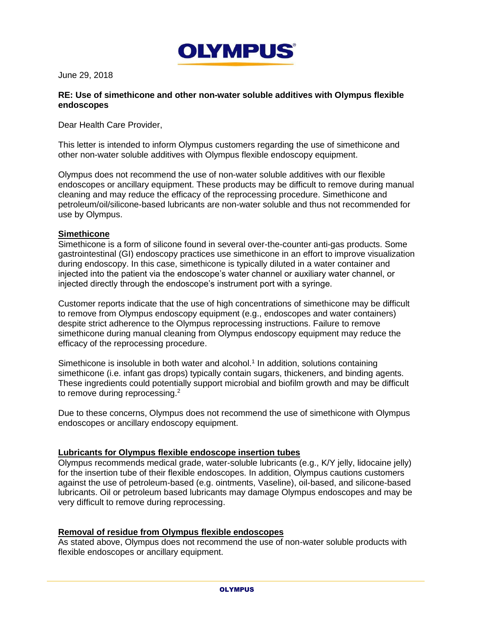

June 29, 2018

## **RE: Use of simethicone and other non-water soluble additives with Olympus flexible endoscopes**

Dear Health Care Provider,

This letter is intended to inform Olympus customers regarding the use of simethicone and other non-water soluble additives with Olympus flexible endoscopy equipment.

Olympus does not recommend the use of non-water soluble additives with our flexible endoscopes or ancillary equipment. These products may be difficult to remove during manual cleaning and may reduce the efficacy of the reprocessing procedure. Simethicone and petroleum/oil/silicone-based lubricants are non-water soluble and thus not recommended for use by Olympus.

## **Simethicone**

Simethicone is a form of silicone found in several over-the-counter anti-gas products. Some gastrointestinal (GI) endoscopy practices use simethicone in an effort to improve visualization during endoscopy. In this case, simethicone is typically diluted in a water container and injected into the patient via the endoscope's water channel or auxiliary water channel, or injected directly through the endoscope's instrument port with a syringe.

Customer reports indicate that the use of high concentrations of simethicone may be difficult to remove from Olympus endoscopy equipment (e.g., endoscopes and water containers) despite strict adherence to the Olympus reprocessing instructions. Failure to remove simethicone during manual cleaning from Olympus endoscopy equipment may reduce the efficacy of the reprocessing procedure.

Simethicone is insoluble in both water and alcohol.<sup>1</sup> In addition, solutions containing simethicone (i.e. infant gas drops) typically contain sugars, thickeners, and binding agents. These ingredients could potentially support microbial and biofilm growth and may be difficult to remove during reprocessing.<sup>2</sup>

Due to these concerns, Olympus does not recommend the use of simethicone with Olympus endoscopes or ancillary endoscopy equipment.

## **Lubricants for Olympus flexible endoscope insertion tubes**

Olympus recommends medical grade, water-soluble lubricants (e.g., K/Y jelly, lidocaine jelly) for the insertion tube of their flexible endoscopes. In addition, Olympus cautions customers against the use of petroleum-based (e.g. ointments, Vaseline), oil-based, and silicone-based lubricants. Oil or petroleum based lubricants may damage Olympus endoscopes and may be very difficult to remove during reprocessing.

## **Removal of residue from Olympus flexible endoscopes**

As stated above, Olympus does not recommend the use of non-water soluble products with flexible endoscopes or ancillary equipment.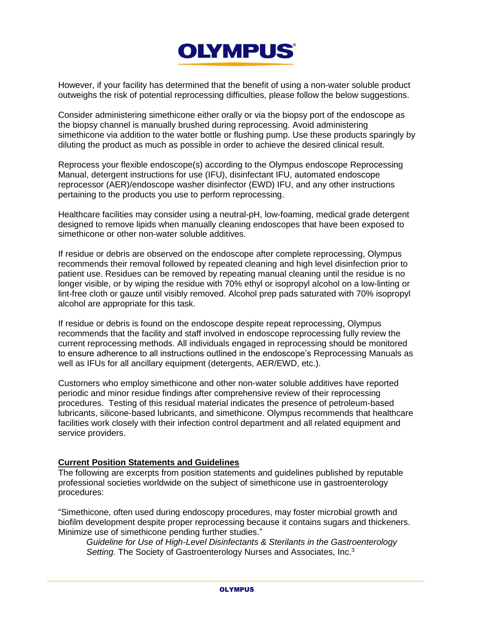

However, if your facility has determined that the benefit of using a non-water soluble product outweighs the risk of potential reprocessing difficulties, please follow the below suggestions.

Consider administering simethicone either orally or via the biopsy port of the endoscope as the biopsy channel is manually brushed during reprocessing. Avoid administering simethicone via addition to the water bottle or flushing pump. Use these products sparingly by diluting the product as much as possible in order to achieve the desired clinical result.

Reprocess your flexible endoscope(s) according to the Olympus endoscope Reprocessing Manual, detergent instructions for use (IFU), disinfectant IFU, automated endoscope reprocessor (AER)/endoscope washer disinfector (EWD) IFU, and any other instructions pertaining to the products you use to perform reprocessing.

Healthcare facilities may consider using a neutral-pH, low-foaming, medical grade detergent designed to remove lipids when manually cleaning endoscopes that have been exposed to simethicone or other non-water soluble additives.

If residue or debris are observed on the endoscope after complete reprocessing, Olympus recommends their removal followed by repeated cleaning and high level disinfection prior to patient use. Residues can be removed by repeating manual cleaning until the residue is no longer visible, or by wiping the residue with 70% ethyl or isopropyl alcohol on a low-linting or lint-free cloth or gauze until visibly removed. Alcohol prep pads saturated with 70% isopropyl alcohol are appropriate for this task.

If residue or debris is found on the endoscope despite repeat reprocessing, Olympus recommends that the facility and staff involved in endoscope reprocessing fully review the current reprocessing methods. All individuals engaged in reprocessing should be monitored to ensure adherence to all instructions outlined in the endoscope's Reprocessing Manuals as well as IFUs for all ancillary equipment (detergents, AER/EWD, etc.).

Customers who employ simethicone and other non-water soluble additives have reported periodic and minor residue findings after comprehensive review of their reprocessing procedures. Testing of this residual material indicates the presence of petroleum-based lubricants, silicone-based lubricants, and simethicone. Olympus recommends that healthcare facilities work closely with their infection control department and all related equipment and service providers.

# **Current Position Statements and Guidelines**

The following are excerpts from position statements and guidelines published by reputable professional societies worldwide on the subject of simethicone use in gastroenterology procedures:

"Simethicone, often used during endoscopy procedures, may foster microbial growth and biofilm development despite proper reprocessing because it contains sugars and thickeners. Minimize use of simethicone pending further studies."

*Guideline for Use of High-Level Disinfectants & Sterilants in the Gastroenterology Setting.* The Society of Gastroenterology Nurses and Associates, Inc.3